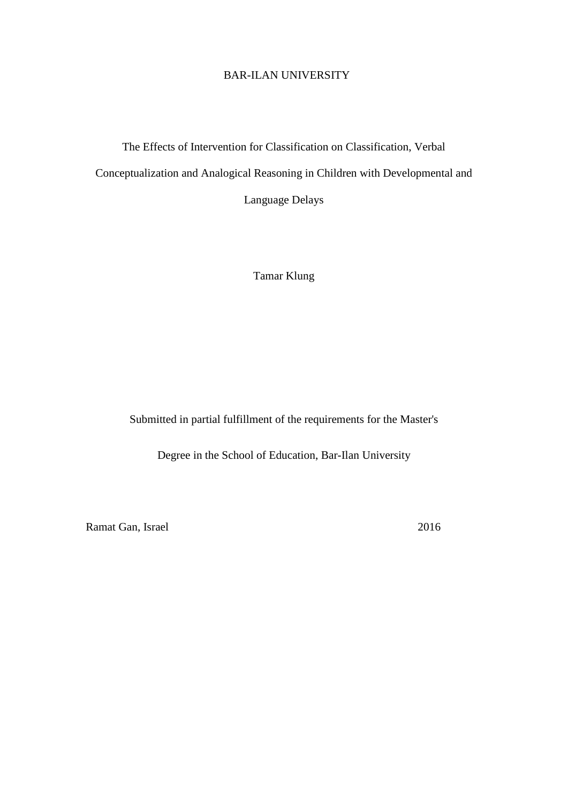## BAR-ILAN UNIVERSITY

## The Effects of Intervention for Classification on Classification, Verbal Conceptualization and Analogical Reasoning in Children with Developmental and

Language Delays

Tamar Klung

Submitted in partial fulfillment of the requirements for the Master's

Degree in the School of Education, Bar-Ilan University

Ramat Gan, Israel 2016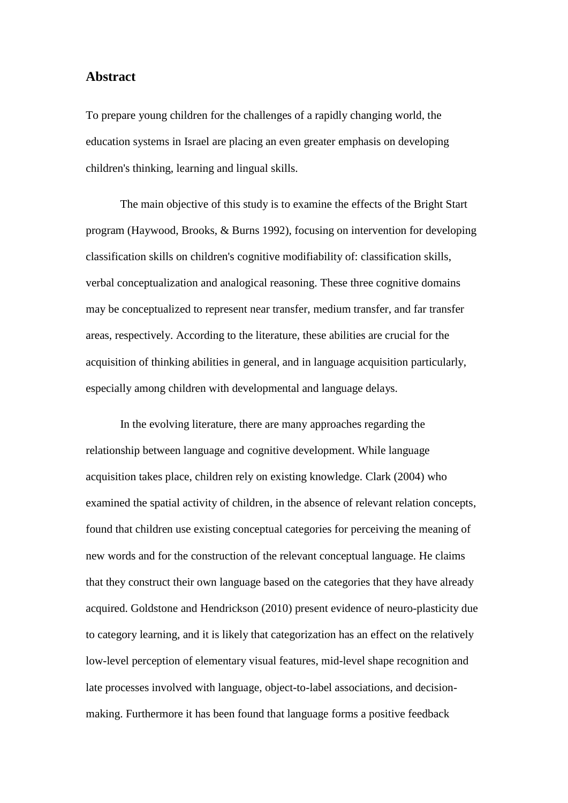## **Abstract**

To prepare young children for the challenges of a rapidly changing world, the education systems in Israel are placing an even greater emphasis on developing children's thinking, learning and lingual skills.

The main objective of this study is to examine the effects of the Bright Start program (Haywood, Brooks, & Burns 1992), focusing on intervention for developing classification skills on children's cognitive modifiability of: classification skills, verbal conceptualization and analogical reasoning. These three cognitive domains may be conceptualized to represent near transfer, medium transfer, and far transfer areas, respectively. According to the literature, these abilities are crucial for the acquisition of thinking abilities in general, and in language acquisition particularly, especially among children with developmental and language delays.

In the evolving literature, there are many approaches regarding the relationship between language and cognitive development. While language acquisition takes place, children rely on existing knowledge. Clark (2004) who examined the spatial activity of children, in the absence of relevant relation concepts, found that children use existing conceptual categories for perceiving the meaning of new words and for the construction of the relevant conceptual language. He claims that they construct their own language based on the categories that they have already acquired. Goldstone and Hendrickson (2010) present evidence of neuro-plasticity due to category learning, and it is likely that categorization has an effect on the relatively low-level perception of elementary visual features, mid-level shape recognition and late processes involved with language, object-to-label associations, and decisionmaking. Furthermore it has been found that language forms a positive feedback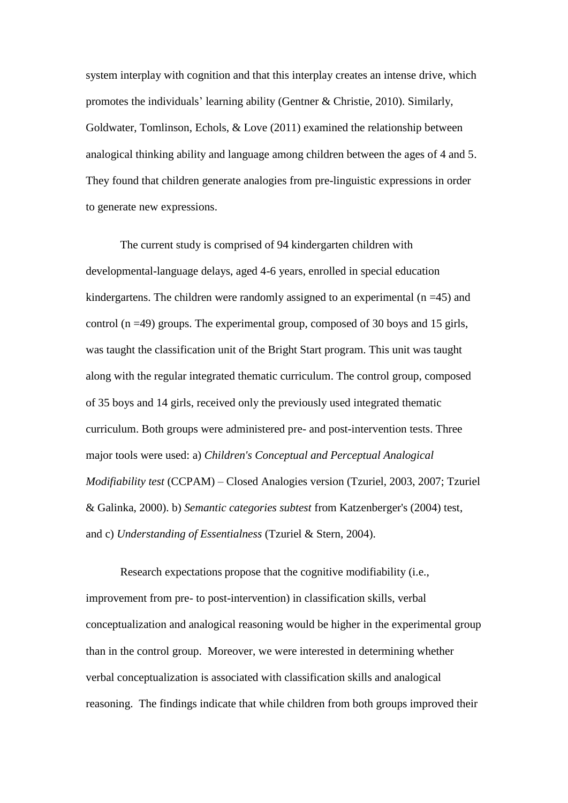system interplay with cognition and that this interplay creates an intense drive, which promotes the individuals' learning ability (Gentner & Christie, 2010). Similarly, Goldwater, Tomlinson, Echols, & Love (2011) examined the relationship between analogical thinking ability and language among children between the ages of 4 and 5. They found that children generate analogies from pre-linguistic expressions in order to generate new expressions.

The current study is comprised of 94 kindergarten children with developmental-language delays, aged 4-6 years, enrolled in special education kindergartens. The children were randomly assigned to an experimental  $(n = 45)$  and control  $(n = 49)$  groups. The experimental group, composed of 30 boys and 15 girls, was taught the classification unit of the Bright Start program. This unit was taught along with the regular integrated thematic curriculum. The control group, composed of 35 boys and 14 girls, received only the previously used integrated thematic curriculum. Both groups were administered pre- and post-intervention tests. Three major tools were used: a) *Children's Conceptual and Perceptual Analogical Modifiability test* (CCPAM) – Closed Analogies version (Tzuriel, 2003, 2007; Tzuriel & Galinka, 2000). b) *Semantic categories subtest* from Katzenberger's (2004) test, and c) *Understanding of Essentialness* (Tzuriel & Stern, 2004).

Research expectations propose that the cognitive modifiability (i.e., improvement from pre- to post-intervention) in classification skills, verbal conceptualization and analogical reasoning would be higher in the experimental group than in the control group. Moreover, we were interested in determining whether verbal conceptualization is associated with classification skills and analogical reasoning. The findings indicate that while children from both groups improved their